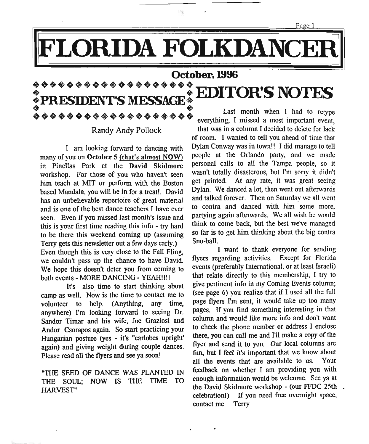Page 1

## **LORIDA FOLKDANCE**

### **october, 1996**

\*\*\*\*\*\*\*\*\*\*\*\*\*\*\*\*\*\*\* **: PRESIDENT'S MESSAGE: EDITORtS NOTES** • PRESIDENT'S MESSAGE • Last month when I had to retype Last month when I had to retype Last month when I had to retype

I am looking forward to dancing with many of you on October 5 (that's almost NOW) in Pinellas Park at the David Skidmore workshop. For those of you who haven't seen him teach at MIT or perform with the Boston based Mandala, you will be in for a treat!. David has an unbelievable repertoire of great material and is one of the best dance teachers I have ever seen. Even if you missed last month's issue and this is your first time reading this info - try hard to be there this weekend coming up (assuming Terry gets this newsletter out a few days early.) Even though this is very close to the Fall Fling, we couldn't pass up the chance to have David. We hope this doesn't deter you from coming to both events- MORE DANCING - YEAH!!!!

It's also time to start thinking about camp as well. Now is the time to contact me to volunteer to help. (Anything, any time, anywhere) I'm looking forward to seeing Dr. Sandor Timar and his wife, Joe Graziosi and Andor Csompos again. So start practicing your Hungarian posture (yes - it's "earlobes upright' again) and giving weight during couple dances. Please read all the flyers and see ya soon!

"THE SEED OF DANCE WAS PLANTED IN THE SOUL; NOW IS THE TIME TO HARVEST"

Randy Andy Pollock that was in a column I decided to delete for lack of room. I wanted to tell you ahead of time that Dylan Conway was in town!! I did manage to tell people at the Orlando party, and we made personal calls to all the Tampa people, so it wasn't totally disasterous, but I'm sorry it didn't get printed. At any rate, it was great seeing Dylan. We danced a lot, then went out afterwards and talked forever. Then on Saturday we all went to contra and danced with him some more partying again afterwards. We all wish he would think to come back, but the best we've managed so far is to get him thinking about the big contra Sno-ball.

> I want to thank everyone for sending flyers regarding activities. Except for Florida events (preferably International, or at least Israeli) that relate directly to this membership, I try to give pertinent info in my Coming Events column; (see page 6) you realize that if I used all the full page flyers I'm sent, it would take up too many pages. If you find something interesting in that column and would like more info and don't want to check the phone number or address I enclose there, you can call me and I'll make a copy of the flyer and send it to you. Our local columns are fun, but I feel it's important that we know about all the events that are available to us. Your feedback on whether I am providing you with enough information would be welcome. See ya at the David Skidmore workshop - (our FFDC 25th , celebration!) If you need free overnight space, contact me. Terry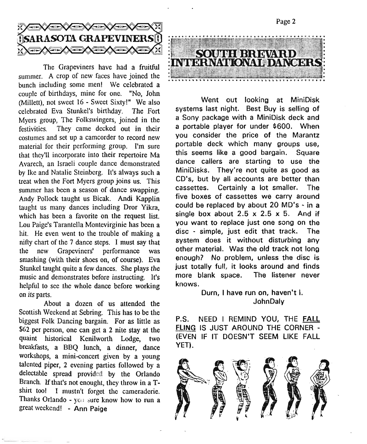

The Grapeviners have had a fruitful summer. A crop of new faces have joined the bunch including some men! We celebrated a couple of birthdays, mine for one. "No, John (Millett), not sweet 16 - Sweet Sixty!" We also celebrated Eva Stunkel's birthday. The Fort Myers group, The Folkswingers, joined in the festivities. They came decked out in their costumes and set up a camcorder to record new material for their performing group. I'm sure that they'll incorporate into their repertoire Ma Avarech, an Israeli couple dance demonstrated by Ike and Natalie Steinberg. It's always such a treat when the Fort Myers group joins us. This summer has been a season of dance swapping. Andy Pollock taught us Bicak. Andi Kapplin taught us many dances including Dror Yikra, which has been a favorite on the request list. Lou Paige's Tarantella Montevirginie has been a hit. He even went to the trouble of making a nifty chart of the 7 dance steps. I must say that the new Grapeviners' performance was smashing (with their shoes on, of course). Eva Stunkel taught quite a few dances. She plays the music and demonstrates before instructing. It's helpful to see the whole dance before working on its parts.

About a dozen of us attended the Scottish Weekend at Sebring. This has to be the biggest Folk Dancing bargain. For as little as \$62 per person, one can get a 2 nite stay at the quaint historical Kenilworth Lodge, two breakfasts, a BBQ lunch, a dinner, dance workshops, a mini-concert given by a young talented piper, 2 evening parties followed by a delectable spread provided by the Orlando Branch. If that's not enought, they throw in a Tshirt tool I mustn't forget the cameraderie. Thanks Orlando - yc.: sure know how to run a great weekend! - Ann Paige



Page 2

Went out looking at MiniDisk systems last night. Best Buy is selling of a Sony package with a MiniDisk deck and a portable player for under \$600. When you consider the price of the Marantz portable deck which many groups use, this seems like a good bargain. Square dance callers are starting to use the MiniOisks. They're not quite as good as CO's, but by all accounts are better than cassettes. Certainly a lot smaller. The five boxes of cassettes we carry around could be replaced by about 20 MO's - in a single box about  $2.5 \times 2.5 \times 5$ . And if you want to replace just one song on the disc - simple, just edit that track. The system does it without disturbing any other material. Was the old track not long enough? No problem, unless the disc is just totally full, it looks around and finds more blank space. The listener never knows.

> Durn, I have run on, haven't I. JohnOaly

P.S. NEED I REMIND YOU, THE FALL FLING IS JUST AROUND THE CORNER - (EVEN IF IT DOESN'T SEEM LIKE FALL YET).

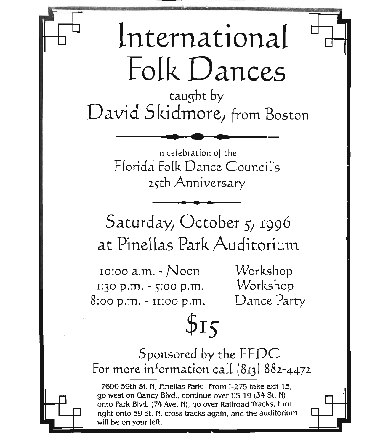# International FolkDances

taught by David Skidmore, from Boston • **• •**

in celebration of the F[orida Folk Dance Council's 25th Anniversary .**- -**

Saturday, October 5, 1996 at Pinellas Park Auditorium

10:00 a.m. - Noon  $1:30$  p.m. -  $5:00$  p.m. 8:00 p.m. - 11:00 p.m.

Workshop Workshop Dance Party

Sponsored by the FFDC For more information call  $(813) 882 - 4472$ 

 $515$ 

! 7690 59th st. N, Pinellas Park: From 1-275 take exit 15, ! go west on Gandy Blvd., continue over US 19 (34 St. N) onto Park Blvd. (74 Ave. N), go over Railroad Tracks, turn right onto 59 St. N, cross tracks again, and the auditorium will be on your left.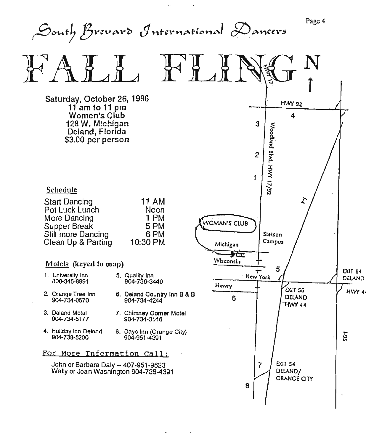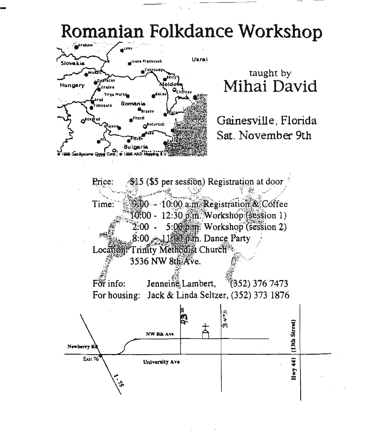



*:,-i:j*  $\ddot{\phantom{0}}$ 

## taught by **Mihai David**

Gainesville, Florida Sat. November 9th

Price:  $\sqrt{$15}$  (\$5 per session) Registration at door T:~~;:::';~~"~(}::-{~~ii'i&j~triit~it~~~fi;:  $10:00 - 12:30$  pm. Workshop (session 1)  $2.00 - 5:00$  pm. Workshop (session 2)  $8:00-11:00$  p.m. Dance Party Location: Trinity Methodist Church.<sup>\*</sup>  $\mathbf{1}$ .  $3536$  NW  $8t\hbar$   $A$   $v$ <sub>e</sub>  $\qquad \qquad$  $\frac{1}{2}$   $\frac{1}{2}$   $\frac{1}{2}$   $\frac{1}{2}$   $\frac{1}{2}$   $\frac{1}{2}$   $\frac{1}{2}$   $\frac{1}{2}$   $\frac{1}{2}$   $\frac{1}{2}$   $\frac{1}{2}$   $\frac{1}{2}$   $\frac{1}{2}$   $\frac{1}{2}$   $\frac{1}{2}$   $\frac{1}{2}$   $\frac{1}{2}$   $\frac{1}{2}$   $\frac{1}{2}$   $\frac{1}{2}$   $\frac{1}{2}$   $\frac{1}{2}$  *f~;;*



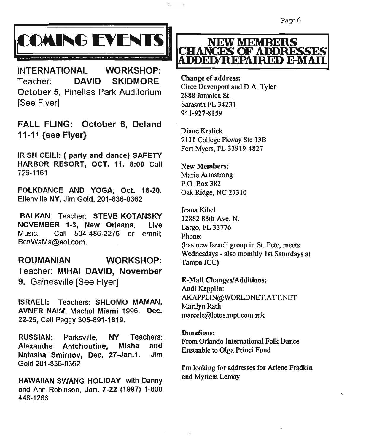

INTERNATIONAL WORKSHOP: Teacher: DAVID SKIDMORE, October 5, Pinellas Park Auditorium [See Flyer]

FAll FLING: October 6, Deland 11-11 {see Flyer}

IRISH CElLI: ( party and dance) SAFETY HARBOR RESORT, OCT. 11. 8:00 Call 726-1161

FOLKDANCE AND YOGA, Oct. 18-20. Ellenville NY, Jim Gold, 201-836-0362

BALKAN: Teacher: STEVE KOTANSKY NOVEMBER 1-3, New Orleans. Live Music. Call 504-486-2276 or email: BenWaMa@aol.com.

ROUMANIAN WORKSHOP: Teacher: MIHAl DAVID, November 9. Gainesville [See Flyer]

ISRAELI: Teachers: SHLOMO MAMAN, AVNER NAIM. Machol Miami 1996. Dec. 22-25, Call Peggy 305-891-1819.

RUSSIAN: Parksville, NY Teachers: Alexandre Antchoutine, Misha and Natasha Smirnov, Dec. 27-Jan.1. Jim Gold 201-836-0362

HAWAIIAN SWANG HOLIDAY with Danny and Ann Robinson, Jan. 7-22 (1997) 1-800 448-1266



Cbange of address: Circe Davenport and D.A. Tyler 2888 Jamaica St. Sarasota FL 34231 941-927-8159

Diane Kralick 9131 College Pkway Ste 13B Fort Myers, FL 33919-4827

New Members: Marie Armstrong P.O. Box 382 Oak Ridge, NC 27310

Jeana Kibei 12882 88th Ave. N. Largo, FL 33776 Phone: (has new Israeli group in St. Pete, meets Wednesdays - also monthly 1st Saturdays at Tampa JCC)

E-Mail Changes/Additions: Andi Kapplin:

AKAPPLIN@WORLDNET.ATT.NET Marilyn Rath: marcele@lotus.mpt.com.mk

#### Donations:

From Orlando International Folk Dance Ensemble to Olga Princi Fund

I'm looking for addresses for Arlene Fradkin and Myriam Lemay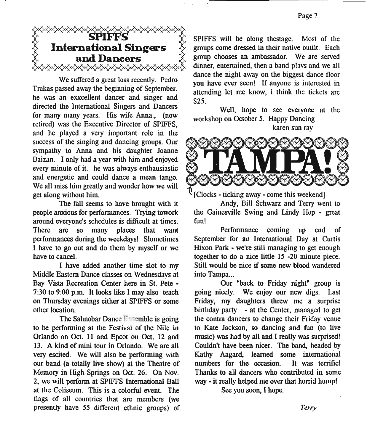

We suffered a great loss recently. Pedro Trakas passed away the beginning of September. he was an exxcellent dancer and singer and directed the International Singers and Dancers for many many years. His wife Anna., (now retired) was the Executive Director of SPIFFS, and he played a very important role in the success of the singing and dancing groups. Our sympathy to Anna and his daughter Joanne Baizan. I only had a year with him and enjoyed every minute of it. he was always enthausiastic and energetic and could dance a mean tango. We all miss him greatly and wonder how we will get along without him.

The fall seems to have brought with it people anxious for performances, Trying towork around everyone's schedules is difficult at times. There are so many places that want performances during the weekdays! Slometimes I have to go out and do them by myself or we have to cancel.

I have added another time slot to my Middle Eastern Dance classes on Wednesdays at Bay Vista Recreation Center here in St. Pete - 7:30 to 9:00 p.m. It looks like I may also teach on Thursday evenings either at SPIFFS or some other location.

The Sahnobar Dance Freemble is going to be performing at the Festival of the Nile in Orlando on Oct. 11 and Epcot on Oct. 12 and 13. A kind of mini tour in Orlando. We are all very escited. We will also be performing with our band (a totally live show) at the Theatre of Memory in High Springs on Oct. 26. On Nov. 2, we will perform at SPIFFS International Ball at the Coliseum. This is a colorful event. The flags of all countries that are members (we presently have 55 different ethnic groups) of

SPIFFS will be along thestage. Most of the groups come dressed in their native outfit. Each group chooses an ambassador. We are served dinner, entertained, then a band plays and we all dance the night away on the biggest dance floor you have ever seen! If anyone is interested in attending let me know, i think the tickets are \$25.

Well, hope to see everyone at the workshop on October *S.* Happy Dancing karen sun ray



[Clocks - ticking away - come this weekend]

Andy, Bill Schwarz and Terry went to the Gainesville Swing and Lindy Hop - great fun!

Performance coming up end of September for an International Day at Curtis Hixon Park - we're still managing to get enough together to do a nice little 15 -20 minute piece. Still would be nice if some new blood wandered into Tampa...

Our "back to Friday night" group is going nicely. We enjoy our new digs. Last Friday, my daughters threw me a surprise birthday party - at the Center, managed to get the contra dancers to change their Friday venue to Kate Jackson, so dancing and fun (to live music) was had by all and I really was surprised! Couldn't have been nicer. The band, headed by Kathy Aagard, learned some international numbers for the occasion. It was terrific! Thanks to all dancers who contributed in some way - it really helped me over that horrid humpl

See you soon, I hope.